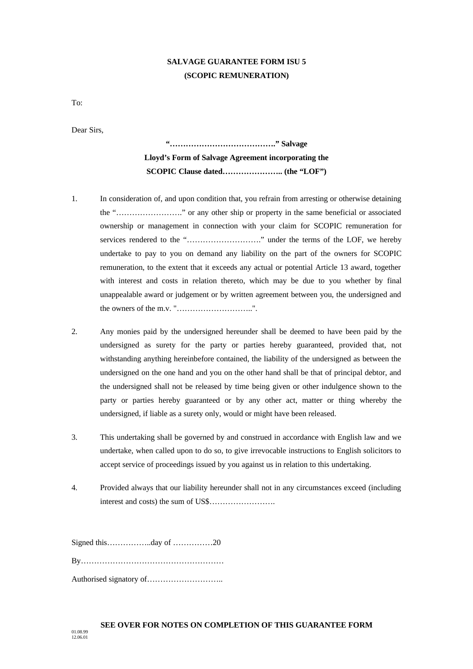## **SALVAGE GUARANTEE FORM ISU 5 (SCOPIC REMUNERATION)**

To:

Dear Sirs,

# **"…………………………………." Salvage Lloyd's Form of Salvage Agreement incorporating the SCOPIC Clause dated………………….. (the "LOF")**

- 1. In consideration of, and upon condition that, you refrain from arresting or otherwise detaining the "……………………." or any other ship or property in the same beneficial or associated ownership or management in connection with your claim for SCOPIC remuneration for services rendered to the "………………………." under the terms of the LOF, we hereby undertake to pay to you on demand any liability on the part of the owners for SCOPIC remuneration, to the extent that it exceeds any actual or potential Article 13 award, together with interest and costs in relation thereto, which may be due to you whether by final unappealable award or judgement or by written agreement between you, the undersigned and the owners of the m.v. "………………………..".
- 2. Any monies paid by the undersigned hereunder shall be deemed to have been paid by the undersigned as surety for the party or parties hereby guaranteed, provided that, not withstanding anything hereinbefore contained, the liability of the undersigned as between the undersigned on the one hand and you on the other hand shall be that of principal debtor, and the undersigned shall not be released by time being given or other indulgence shown to the party or parties hereby guaranteed or by any other act, matter or thing whereby the undersigned, if liable as a surety only, would or might have been released.
- 3. This undertaking shall be governed by and construed in accordance with English law and we undertake, when called upon to do so, to give irrevocable instructions to English solicitors to accept service of proceedings issued by you against us in relation to this undertaking.
- 4. Provided always that our liability hereunder shall not in any circumstances exceed (including interest and costs) the sum of US\$…………………….

Signed this……………..day of ……………20 By……………………………………………… Authorised signatory of………………………..